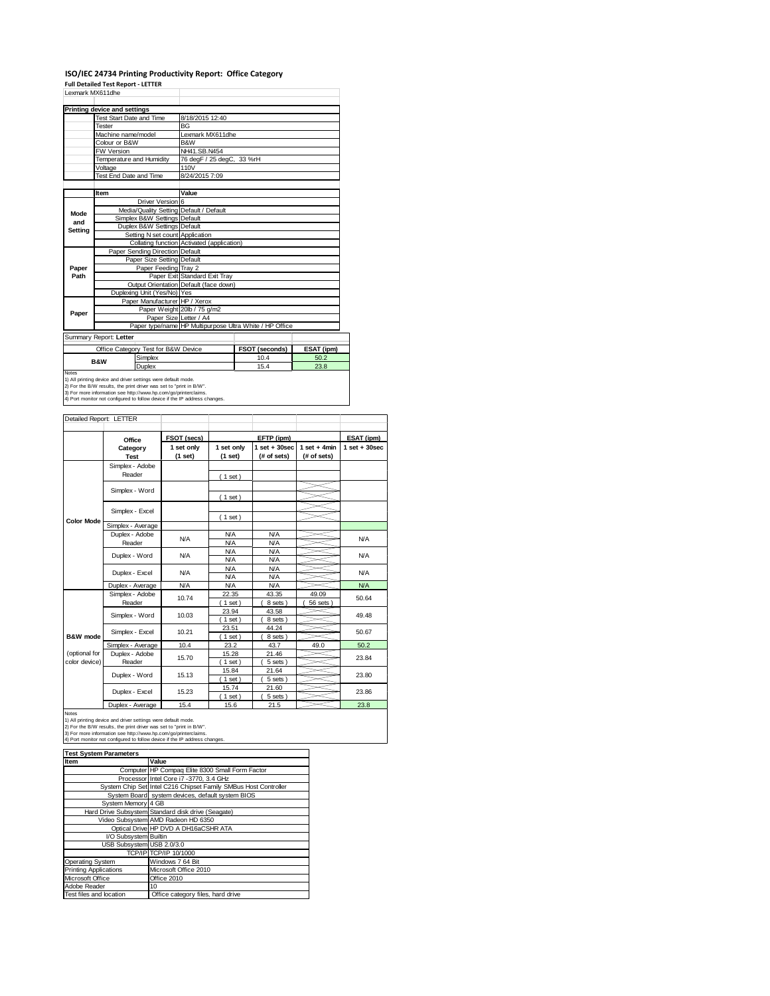### **ISO/IEC 24734 Printing Productivity Report: Office Category**

**Full Detailed Test Report ‐ LETTER**

| Lexmark MX611dhe                                                           |                                                                     |                                                         |                |            |  |
|----------------------------------------------------------------------------|---------------------------------------------------------------------|---------------------------------------------------------|----------------|------------|--|
|                                                                            | Printing device and settings                                        |                                                         |                |            |  |
|                                                                            | <b>Test Start Date and Time</b>                                     | 8/18/2015 12:40                                         |                |            |  |
|                                                                            | Tester                                                              | <b>BG</b>                                               |                |            |  |
|                                                                            | Machine name/model                                                  | Lexmark MX611dhe                                        |                |            |  |
|                                                                            | Colour or B&W                                                       | B&W                                                     |                |            |  |
|                                                                            |                                                                     | NH41.SB.N454                                            |                |            |  |
|                                                                            | <b>FW Version</b><br>Temperature and Humidity                       |                                                         |                |            |  |
|                                                                            |                                                                     | 76 degF / 25 degC, 33 %rH<br>110V                       |                |            |  |
|                                                                            | Voltage                                                             | 8/24/2015 7:09                                          |                |            |  |
|                                                                            | Test End Date and Time                                              |                                                         |                |            |  |
|                                                                            | Item                                                                | Value                                                   |                |            |  |
|                                                                            | Driver Version 6                                                    |                                                         |                |            |  |
|                                                                            | Media/Quality Setting Default / Default                             |                                                         |                |            |  |
| Mode                                                                       | Simplex B&W Settings Default                                        |                                                         |                |            |  |
| and                                                                        | Duplex B&W Settings Default                                         |                                                         |                |            |  |
| Setting                                                                    | Setting N set count Application                                     |                                                         |                |            |  |
|                                                                            |                                                                     | Collating function Activated (application)              |                |            |  |
|                                                                            | Paper Sending Direction Default                                     |                                                         |                |            |  |
|                                                                            | Paper Size Setting Default                                          |                                                         |                |            |  |
| Paper                                                                      | Paper Feeding Tray 2                                                |                                                         |                |            |  |
| Path                                                                       |                                                                     | Paper Exit Standard Exit Tray                           |                |            |  |
|                                                                            |                                                                     | Output Orientation Default (face down)                  |                |            |  |
|                                                                            | Duplexing Unit (Yes/No) Yes                                         |                                                         |                |            |  |
|                                                                            | Paper Manufacturer HP / Xerox                                       |                                                         |                |            |  |
|                                                                            |                                                                     | Paper Weight 20lb / 75 g/m2                             |                |            |  |
| Paper                                                                      |                                                                     | Paper Size Letter / A4                                  |                |            |  |
|                                                                            |                                                                     | Paper type/name HP Multipurpose Ultra White / HP Office |                |            |  |
|                                                                            | Summary Report: Letter                                              |                                                         |                |            |  |
|                                                                            | Office Category Test for B&W Device                                 |                                                         | FSOT (seconds) | ESAT (ipm) |  |
|                                                                            | Simplex<br><b>B&amp;W</b>                                           |                                                         | 10.4           | 50.2       |  |
|                                                                            | Duplex                                                              |                                                         | 15.4           | 23.8       |  |
| Notes                                                                      | 1) All printing device and driver settings were default mode.       |                                                         |                |            |  |
|                                                                            | 2) For the B/W results, the print driver was set to "print in B/W". |                                                         |                |            |  |
|                                                                            | 3) For more information see http://www.hp.com/go/printerclaims.     |                                                         |                |            |  |
| 4) Port monitor not configured to follow device if the IP address changes. |                                                                     |                                                         |                |            |  |

| Detailed Report: LETTER        |                           |                       |                          |                                  |                               |                   |
|--------------------------------|---------------------------|-----------------------|--------------------------|----------------------------------|-------------------------------|-------------------|
|                                | Office                    | FSOT (secs)           |                          | EFTP (ipm)                       |                               | ESAT (ipm)        |
|                                | Category<br><b>Test</b>   | 1 set only<br>(1 set) | 1 set only<br>(1 set)    | $1$ set $+30$ sec<br>(# of sets) | $1$ set + 4min<br>(# of sets) | $1$ set $+30$ sec |
|                                | Simplex - Adobe<br>Reader |                       | (1 set)                  |                                  |                               |                   |
|                                | Simplex - Word            |                       | (1 set)                  |                                  |                               |                   |
|                                | Simplex - Excel           |                       | (1 set)                  |                                  |                               |                   |
| <b>Color Mode</b>              | Simplex - Average         |                       |                          |                                  |                               |                   |
|                                | Duplex - Adobe<br>Reader  | N/A                   | <b>N/A</b><br><b>N/A</b> | <b>N/A</b><br><b>N/A</b>         |                               | <b>N/A</b>        |
|                                | Duplex - Word             | <b>N/A</b>            | <b>N/A</b><br><b>N/A</b> | <b>N/A</b><br><b>N/A</b>         |                               | <b>N/A</b>        |
|                                | Duplex - Excel            | N/A                   | <b>N/A</b><br><b>N/A</b> | <b>N/A</b><br><b>N/A</b>         |                               | <b>N/A</b>        |
|                                | Duplex - Average          | <b>N/A</b>            | <b>N/A</b>               | <b>N/A</b>                       |                               | <b>N/A</b>        |
|                                | Simplex - Adobe<br>Reader | 10.74                 | 22.35<br>$1$ set $)$     | 43.35<br>8 sets)                 | 49.09<br>56 sets              | 50.64             |
|                                | Simplex - Word            | 10.03                 | 23.94<br>$1$ set)        | 43.58<br>8 sets)                 |                               | 49.48             |
| B&W mode                       | Simplex - Excel           | 10.21                 | 23.51<br>$1$ set)        | 44.24<br>8 sets)                 |                               | 50.67             |
|                                | Simplex - Average         | 10.4                  | 23.2                     | 43.7                             | 49.0                          | 50.2              |
| (optional for<br>color device) | Duplex - Adobe<br>Reader  | 15.70                 | 15.28<br>$1$ set)        | 21.46<br>5 sets)                 |                               | 23.84             |
|                                | Duplex - Word             | 15.13                 | 15.84<br>$1$ set)        | 21.64<br>5 sets)                 |                               | 23.80             |
|                                | Duplex - Excel            | 15.23                 | 15.74<br>$1$ set)        | 21.60<br>5 sets)                 |                               | 23.86             |
|                                | Doubless Associates       | $4F - 4$              | 4F <sub>0</sub>          | 24E                              |                               | 22.0              |

Notes<br>
1) All printing device and driver settings were default mode.<br>
1) All printing device and driver settings were default mode.<br>
2) For the B/W results, the print driver was set to "print in B/W".<br>
3) For more inform

| <b>Test System Parameters</b> |                                                                 |  |  |
|-------------------------------|-----------------------------------------------------------------|--|--|
| Item                          | Value                                                           |  |  |
|                               | Computer HP Compaq Elite 8300 Small Form Factor                 |  |  |
|                               | Processor Intel Core i7 -3770, 3.4 GHz                          |  |  |
|                               | System Chip Set Intel C216 Chipset Family SMBus Host Controller |  |  |
|                               | System Board system devices, default system BIOS                |  |  |
| System Memory 4 GB            |                                                                 |  |  |
|                               | Hard Drive Subsystem Standard disk drive (Seagate)              |  |  |
|                               | Video Subsystem AMD Radeon HD 6350                              |  |  |
|                               | Optical Drive HP DVD A DH16aCSHR ATA                            |  |  |
| I/O Subsystem Builtin         |                                                                 |  |  |
| USB Subsystem USB 2.0/3.0     |                                                                 |  |  |
|                               | TCP/IP TCP/IP 10/1000                                           |  |  |
| Operating System              | Windows 7 64 Bit                                                |  |  |
| <b>Printing Applications</b>  | Microsoft Office 2010                                           |  |  |
| Microsoft Office              | Office 2010                                                     |  |  |
| Adobe Reader                  | 10                                                              |  |  |
| Test files and location       | Office category files, hard drive                               |  |  |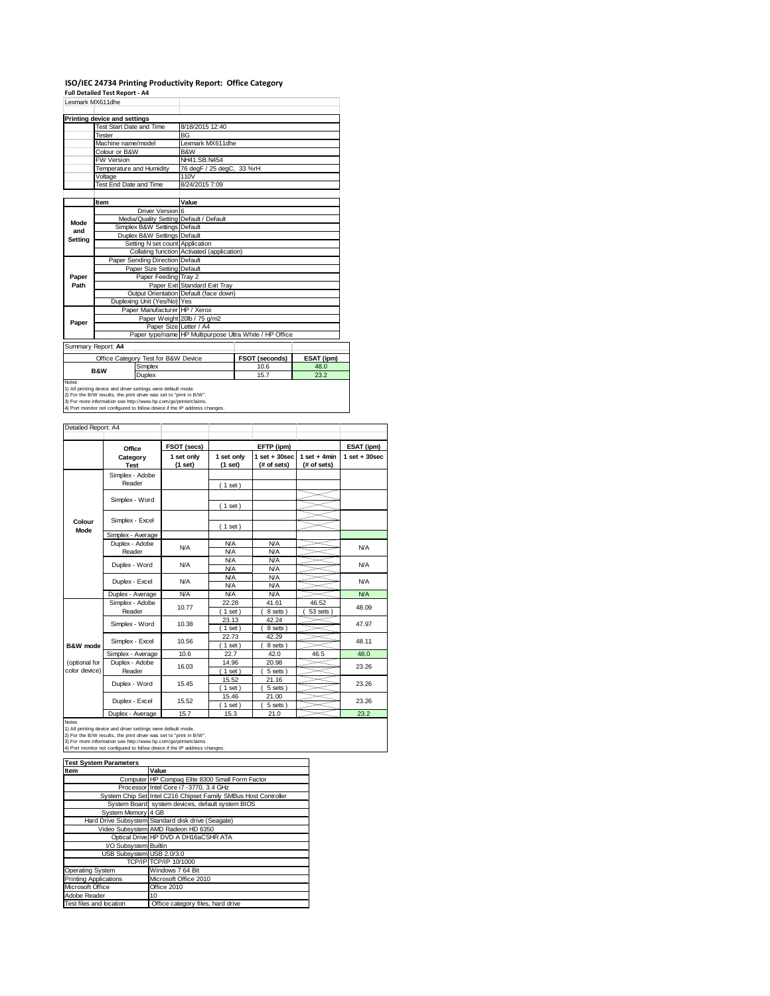### **ISO/IEC 24734 Printing Productivity Report: Office Category Full Detailed Test Report ‐ A4**

|              | Lexmark MX611dhe                                              |                                         |                                            |                                                         |            |  |
|--------------|---------------------------------------------------------------|-----------------------------------------|--------------------------------------------|---------------------------------------------------------|------------|--|
|              | Printing device and settings                                  |                                         |                                            |                                                         |            |  |
|              | Test Start Date and Time                                      |                                         | 8/18/2015 12:40                            |                                                         |            |  |
|              | Tester                                                        |                                         | <b>BG</b>                                  |                                                         |            |  |
|              | Machine name/model                                            |                                         | Lexmark MX611dhe                           |                                                         |            |  |
|              | Colour or B&W                                                 |                                         | B&W                                        |                                                         |            |  |
|              | <b>FW Version</b>                                             |                                         | NH41.SB.N454                               |                                                         |            |  |
|              | Temperature and Humidity                                      |                                         | 76 degF / 25 degC, 33 %rH                  |                                                         |            |  |
|              | Voltage                                                       |                                         | 110V                                       |                                                         |            |  |
|              | Test End Date and Time                                        |                                         | 8/24/2015 7:09                             |                                                         |            |  |
|              |                                                               |                                         |                                            |                                                         |            |  |
|              | Item                                                          |                                         | Value                                      |                                                         |            |  |
|              |                                                               | Driver Version 6                        |                                            |                                                         |            |  |
| Mode         |                                                               | Media/Quality Setting Default / Default |                                            |                                                         |            |  |
| and          |                                                               | Simplex B&W Settings Default            |                                            |                                                         |            |  |
| Setting      |                                                               | Duplex B&W Settings Default             |                                            |                                                         |            |  |
|              |                                                               | Setting N set count Application         |                                            |                                                         |            |  |
|              |                                                               |                                         | Collating function Activated (application) |                                                         |            |  |
|              |                                                               | Paper Sending Direction Default         |                                            |                                                         |            |  |
|              |                                                               | Paper Size Setting Default              |                                            |                                                         |            |  |
| Paper        |                                                               | Paper Feeding Tray 2                    |                                            |                                                         |            |  |
| Path         |                                                               |                                         | Paper Exit Standard Exit Tray              |                                                         |            |  |
|              |                                                               |                                         | Output Orientation Default (face down)     |                                                         |            |  |
|              | Duplexing Unit (Yes/No) Yes                                   |                                         |                                            |                                                         |            |  |
|              |                                                               | Paper Manufacturer HP / Xerox           |                                            |                                                         |            |  |
| Paper        |                                                               | Paper Size Letter / A4                  | Paper Weight 20lb / 75 g/m2                |                                                         |            |  |
|              |                                                               |                                         |                                            | Paper type/name HP Multipurpose Ultra White / HP Office |            |  |
|              |                                                               |                                         |                                            |                                                         |            |  |
|              | Summary Report: A4                                            |                                         |                                            |                                                         |            |  |
|              |                                                               | Office Category Test for B&W Device     |                                            | FSOT (seconds)                                          | ESAT (ipm) |  |
|              |                                                               | Simplex                                 |                                            | 10.6                                                    | 48.0       |  |
|              | <b>B&amp;W</b>                                                | Duplex                                  |                                            | 15.7                                                    | 23.2       |  |
| <b>Notes</b> |                                                               |                                         |                                            |                                                         |            |  |
|              | 1) All printing device and driver settings were default mode. |                                         |                                            |                                                         |            |  |

1) All printing device and driver settings were default mode.<br>2) For the B/W results, the print driver was set to "print in B/W".<br>3) For more information see http://www.hp.com/go/printerclaims.<br>4) Port monitor not configur

|                                | Office                    | FSOT (secs)           |                          | EFTP (ipm)                       |                               | ESAT (ipm)        |
|--------------------------------|---------------------------|-----------------------|--------------------------|----------------------------------|-------------------------------|-------------------|
|                                | Category<br><b>Test</b>   | 1 set only<br>(1 set) | 1 set only<br>(1 set)    | $1$ set $+30$ sec<br>(# of sets) | $1$ set + 4min<br>(# of sets) | $1$ set $+30$ sec |
|                                | Simplex - Adobe<br>Reader |                       | (1 set)                  |                                  |                               |                   |
|                                | Simplex - Word            |                       | (1 set)                  |                                  |                               |                   |
| Colour                         | Simplex - Excel           |                       | (1 set)                  |                                  |                               |                   |
| Mode                           | Simplex - Average         |                       |                          |                                  |                               |                   |
|                                | Duplex - Adobe<br>Reader  | N/A                   | <b>N/A</b><br><b>N/A</b> | <b>N/A</b><br><b>N/A</b>         |                               | <b>N/A</b>        |
|                                | Duplex - Word             | N/A                   | <b>N/A</b><br><b>N/A</b> | <b>N/A</b><br><b>N/A</b>         |                               | <b>N/A</b>        |
|                                | Duplex - Excel            | N/A                   | <b>N/A</b><br><b>N/A</b> | <b>N/A</b><br><b>N/A</b>         |                               | <b>N/A</b>        |
|                                | Duplex - Average          | <b>N/A</b>            | <b>N/A</b>               | <b>N/A</b>                       |                               | <b>N/A</b>        |
|                                | Simplex - Adobe<br>Reader | 10.77                 | 22.28<br>$1$ set)        | 41.61<br>8 sets)                 | 46.52<br>53 sets              | 48.09             |
|                                | Simplex - Word            | 10.38                 | 23.13<br>$1$ set)        | 42.24<br>8 sets)                 |                               | 47.97             |
| <b>R&amp;W</b> mode            | Simplex - Excel           | 10.56                 | 22.73<br>$1$ set $)$     | 42.29<br>8 sets)                 |                               | 48.11             |
|                                | Simplex - Average         | 10.6                  | 22.7                     | 42.0                             | 46.5                          | 48.0              |
| (optional for<br>color device) | Duplex - Adobe<br>Reader  | 16.03                 | 14.96<br>$1$ set)        | 20.98<br>5 sets                  |                               | 23.26             |
|                                | Duplex - Word             | 15.45                 | 15.52<br>$1$ set)        | 21.16<br>5 sets                  |                               | 23.26             |
|                                | Duplex - Excel            | 15.52                 | 15.46<br>$1$ set)        | 21.00<br>5 sets)                 |                               | 23.26             |
|                                | Duplex - Average          | 15.7                  | 15.3                     | 21.0                             |                               | 23.2              |

| <b>Test System Parameters</b> |                                                                 |  |  |
|-------------------------------|-----------------------------------------------------------------|--|--|
| Item                          | Value                                                           |  |  |
|                               | Computer HP Compaq Elite 8300 Small Form Factor                 |  |  |
|                               | Processor Intel Core i7 -3770, 3.4 GHz                          |  |  |
|                               | System Chip Set Intel C216 Chipset Family SMBus Host Controller |  |  |
|                               | System Board system devices, default system BIOS                |  |  |
| System Memory 4 GB            |                                                                 |  |  |
|                               | Hard Drive Subsystem Standard disk drive (Seagate)              |  |  |
|                               | Video Subsystem AMD Radeon HD 6350                              |  |  |
|                               | Optical Drive HP DVD A DH16aCSHR ATA                            |  |  |
| I/O Subsystem Builtin         |                                                                 |  |  |
| USB Subsystem USB 2.0/3.0     |                                                                 |  |  |
|                               | TCP/IP TCP/IP 10/1000                                           |  |  |
| <b>Operating System</b>       | Windows 7 64 Bit                                                |  |  |
| <b>Printing Applications</b>  | Microsoft Office 2010                                           |  |  |
| Microsoft Office              | Office 2010                                                     |  |  |
| Adobe Reader                  | 10                                                              |  |  |
| Test files and location       | Office category files, hard drive                               |  |  |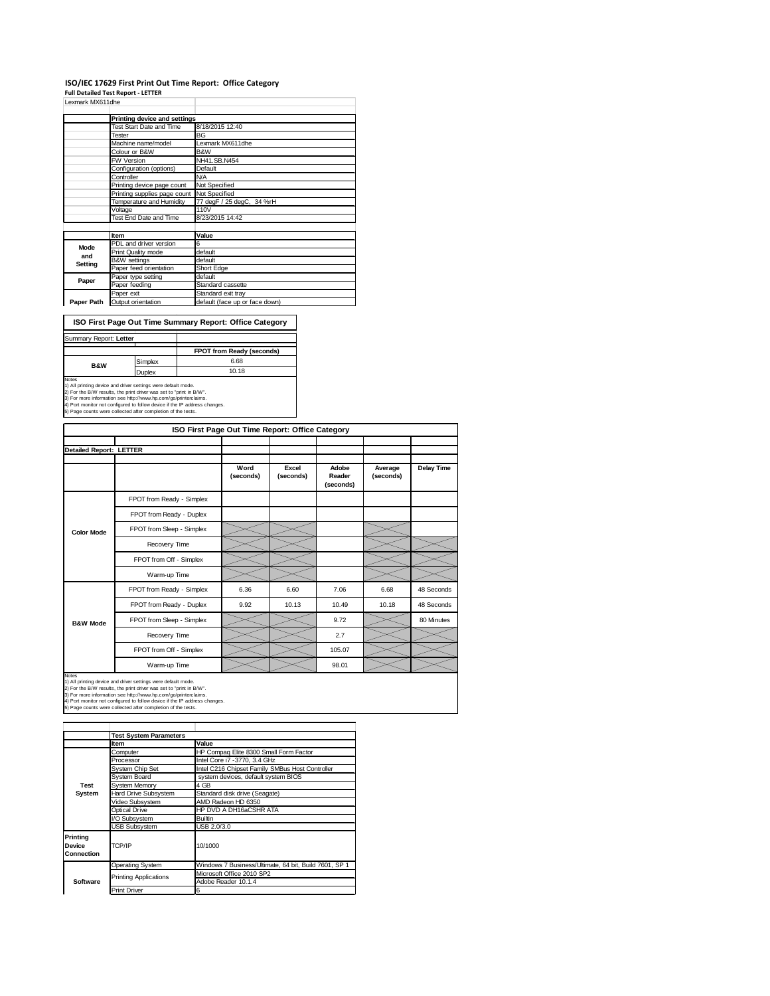## **ISO/IEC 17629 First Print Out Time Report: Office Category Full Detailed Test Report ‐ LETTER**

| Lexmark MX611dhe             |                              |                                |
|------------------------------|------------------------------|--------------------------------|
|                              | Printing device and settings |                                |
|                              | Test Start Date and Time     | 8/18/2015 12:40                |
|                              | Tester                       | BG                             |
|                              | Machine name/model           | Lexmark MX611dhe               |
|                              | Colour or B&W                | B&W                            |
|                              | <b>FW Version</b>            | NH41.SB.N454                   |
|                              | Configuration (options)      | Default                        |
|                              | Controller                   | <b>N/A</b>                     |
|                              | Printing device page count   | Not Specified                  |
| Printing supplies page count |                              | Not Specified                  |
|                              | Temperature and Humidity     | 77 degF / 25 degC, 34 %rH      |
|                              | Voltage                      | 110V                           |
|                              | Test End Date and Time       | 8/23/2015 14:42                |
|                              |                              |                                |
|                              | Item                         | Value                          |
| Mode                         | PDL and driver version       | 6                              |
| and                          | Print Quality mode           | default                        |
| Setting                      | <b>B&amp;W</b> settings      | default                        |
|                              | Paper feed orientation       | Short Edge                     |
| Paper                        | Paper type setting           | default                        |
|                              | Paper feeding                | Standard cassette              |
|                              | Paper exit                   | Standard exit tray             |
| Paper Path                   | Output orientation           | default (face up or face down) |

**ISO First Page Out Time Summary Report: Office Category**

| Summary Report: Letter |         |                                  |
|------------------------|---------|----------------------------------|
|                        |         | <b>FPOT from Ready (seconds)</b> |
| <b>B&amp;W</b>         | Simplex | 6.68                             |
|                        | Duplex  | 10.18                            |
| Notes                  |         |                                  |

|                                |                           | ISO First Page Out Time Report: Office Category |                    |                              |                      |            |
|--------------------------------|---------------------------|-------------------------------------------------|--------------------|------------------------------|----------------------|------------|
| <b>Detailed Report: LETTER</b> |                           |                                                 |                    |                              |                      |            |
|                                |                           | Word<br>(seconds)                               | Excel<br>(seconds) | Adobe<br>Reader<br>(seconds) | Average<br>(seconds) | Delay Time |
|                                | FPOT from Ready - Simplex |                                                 |                    |                              |                      |            |
|                                | FPOT from Ready - Duplex  |                                                 |                    |                              |                      |            |
| <b>Color Mode</b>              | FPOT from Sleep - Simplex |                                                 |                    |                              |                      |            |
|                                | Recovery Time             |                                                 |                    |                              |                      |            |
|                                | FPOT from Off - Simplex   |                                                 |                    |                              |                      |            |
|                                | Warm-up Time              |                                                 |                    |                              |                      |            |
|                                | FPOT from Ready - Simplex | 6.36                                            | 6.60               | 7.06                         | 6.68                 | 48 Seconds |
| <b>B&amp;W Mode</b>            | FPOT from Ready - Duplex  | 9.92                                            | 10.13              | 10.49                        | 10.18                | 48 Seconds |
|                                | FPOT from Sleep - Simplex |                                                 |                    | 9.72                         |                      | 80 Minutes |
|                                | Recovery Time             |                                                 |                    | 2.7                          |                      |            |
|                                | FPOT from Off - Simplex   |                                                 |                    | 105.07                       |                      |            |

Warm-up Time 98.01

 $>\lt$ 

 $\overline{\phantom{0}}$ 

Notes<br>1) All printing device and driver settings were default mode.<br>2) For the B/W results, the print driver was set to "print in B/W".<br>3) For more information see http://www.hp.com/go/printerclaims.<br>4) Port monitor not co

|                                  | <b>Test System Parameters</b> |                                                       |
|----------------------------------|-------------------------------|-------------------------------------------------------|
|                                  | Item                          | Value                                                 |
|                                  | Computer                      | HP Compaq Elite 8300 Small Form Factor                |
|                                  | Processor                     | Intel Core i7 -3770, 3.4 GHz                          |
|                                  | System Chip Set               | Intel C216 Chipset Family SMBus Host Controller       |
|                                  | System Board                  | system devices, default system BIOS                   |
| <b>Test</b>                      | <b>System Memory</b>          | 4 GB                                                  |
| System                           | Hard Drive Subsystem          | Standard disk drive (Seagate)                         |
|                                  | Video Subsystem               | AMD Radeon HD 6350                                    |
|                                  | Optical Drive                 | HP DVD A DH16aCSHR ATA                                |
|                                  | I/O Subsystem                 | <b>Builtin</b>                                        |
|                                  | <b>USB Subsystem</b>          | USB 2.0/3.0                                           |
| Printing<br>Device<br>Connection | TCP/IP                        | 10/1000                                               |
|                                  | <b>Operating System</b>       | Windows 7 Business/Ultimate, 64 bit, Build 7601, SP 1 |
|                                  |                               | Microsoft Office 2010 SP2                             |
| Software                         | <b>Printing Applications</b>  | Adobe Reader 10.1.4                                   |
|                                  | <b>Print Driver</b>           | 6                                                     |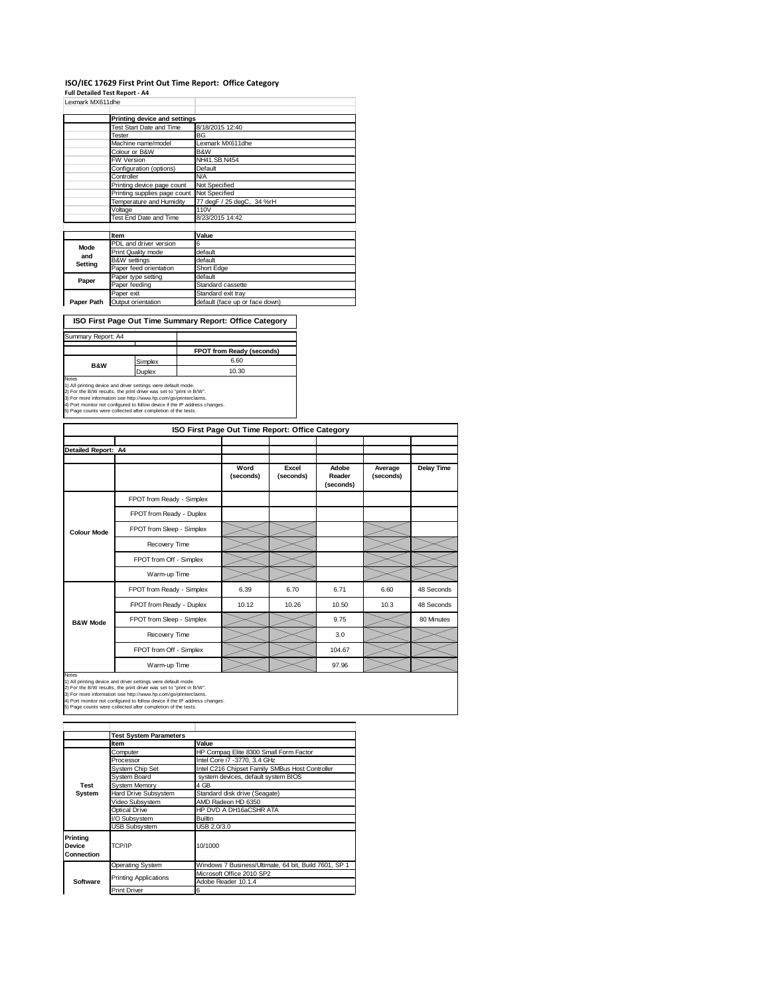### **ISO/IEC 17629 First Print Out Time Report: Office Category**

**Full Detailed Test Report ‐ A4**

| Lexmark MX611dhe |                              |                                |
|------------------|------------------------------|--------------------------------|
|                  | Printing device and settings |                                |
|                  | Test Start Date and Time     | 8/18/2015 12:40                |
|                  | Tester                       | BG                             |
|                  | Machine name/model           | Lexmark MX611dhe               |
|                  | Colour or B&W                | B&W                            |
|                  | <b>FW Version</b>            | NH41.SB.N454                   |
|                  | Configuration (options)      | Default                        |
|                  | Controller                   | <b>N/A</b>                     |
|                  | Printing device page count   | Not Specified                  |
|                  | Printing supplies page count | Not Specified                  |
|                  | Temperature and Humidity     | 77 degF / 25 degC, 34 %rH      |
|                  | Voltage                      | 110V                           |
|                  | Test End Date and Time       | 8/23/2015 14:42                |
|                  |                              |                                |
|                  | Item                         | Value                          |
| Mode             | PDL and driver version       | 6                              |
| and              | Print Quality mode           | default                        |
| Setting          | <b>B&amp;W</b> settings      | default                        |
|                  | Paper feed orientation       | Short Edge                     |
| Paper            | Paper type setting           | default                        |
|                  | Paper feeding                | Standard cassette              |
|                  | Paper exit                   | Standard exit tray             |
| Paper Path       | Output orientation           | default (face up or face down) |

**ISO First Page Out Time Summary Report: Office Category**

| Summary Report: A4 |               |                           |
|--------------------|---------------|---------------------------|
|                    |               |                           |
|                    |               | FPOT from Ready (seconds) |
| <b>B&amp;W</b>     | Simplex       | 6.60                      |
|                    | <b>Duplex</b> | 10.30                     |
| Notes              |               |                           |

Notes<br>1) All printing device and driver settings were default mode.<br>2) For the B/W results, the print driver was set to "print in B/W".<br>3) For more information see http://www.hp.com/go/printerclaims.<br>4) Port monitor not co

|                     |                           | ISO First Page Out Time Report: Office Category |                    |                              |                      |                   |
|---------------------|---------------------------|-------------------------------------------------|--------------------|------------------------------|----------------------|-------------------|
|                     |                           |                                                 |                    |                              |                      |                   |
| Detailed Report: A4 |                           |                                                 |                    |                              |                      |                   |
|                     |                           | Word<br>(seconds)                               | Excel<br>(seconds) | Adobe<br>Reader<br>(seconds) | Average<br>(seconds) | <b>Delay Time</b> |
|                     | FPOT from Ready - Simplex |                                                 |                    |                              |                      |                   |
|                     | FPOT from Ready - Duplex  |                                                 |                    |                              |                      |                   |
| <b>Colour Mode</b>  | FPOT from Sleep - Simplex |                                                 |                    |                              |                      |                   |
|                     | Recovery Time             |                                                 |                    |                              |                      |                   |
|                     | FPOT from Off - Simplex   |                                                 |                    |                              |                      |                   |
|                     | Warm-up Time              |                                                 |                    |                              |                      |                   |
|                     | FPOT from Ready - Simplex | 6.39                                            | 6.70               | 6.71                         | 6.60                 | 48 Seconds        |
|                     | FPOT from Ready - Duplex  | 10.12                                           | 10.26              | 10.50                        | 10.3                 | 48 Seconds        |
| <b>B&amp;W Mode</b> | FPOT from Sleep - Simplex |                                                 |                    | 9.75                         |                      | 80 Minutes        |
|                     | Recovery Time             |                                                 |                    | 3.0                          |                      |                   |
|                     | FPOT from Off - Simplex   |                                                 |                    | 104.67                       |                      |                   |
|                     | Warm-up Time              |                                                 |                    | 97.96                        |                      |                   |

Notes<br>1) All printing device and driver settings were default mode.<br>2) For the B/W results, the print driver was set to "print in B/W".<br>3) For more information see http://www.hp.com/go/printerclaims.<br>4) Port monitor not co

|                                                | <b>Test System Parameters</b> |                                                       |
|------------------------------------------------|-------------------------------|-------------------------------------------------------|
|                                                | Item                          | Value                                                 |
|                                                | Computer                      | HP Compaq Elite 8300 Small Form Factor                |
|                                                | Processor                     | Intel Core i7 -3770, 3.4 GHz                          |
|                                                | System Chip Set               | Intel C216 Chipset Family SMBus Host Controller       |
|                                                | System Board                  | system devices, default system BIOS                   |
| Test                                           | System Memory                 | 4 GB                                                  |
| System                                         | Hard Drive Subsystem          | Standard disk drive (Seagate)                         |
|                                                | Video Subsystem               | AMD Radeon HD 6350                                    |
|                                                | Optical Drive                 | HP DVD A DH16aCSHR ATA                                |
|                                                | I/O Subsystem                 | Builtin                                               |
|                                                | <b>USB Subsystem</b>          | USB 2.0/3.0                                           |
| <b>Printing</b><br><b>Device</b><br>Connection | TCP/IP                        | 10/1000                                               |
|                                                | Operating System              | Windows 7 Business/Ultimate, 64 bit, Build 7601, SP 1 |
|                                                |                               | Microsoft Office 2010 SP2                             |
| Software                                       | <b>Printing Applications</b>  | Adobe Reader 10.1.4                                   |
|                                                | <b>Print Driver</b>           | 6                                                     |
|                                                |                               |                                                       |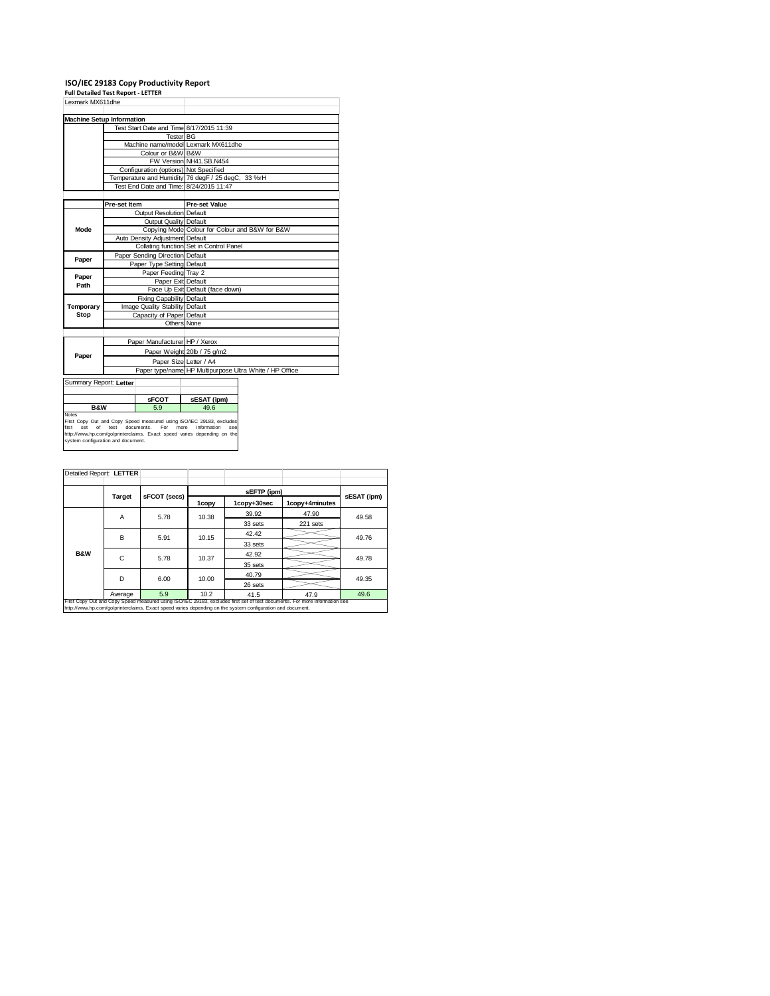**ISO/IEC 29183 Copy Productivity Report Full Detailed Test Report ‐ LETTER**

| Lexmark MX611dhe            |                                                                                                                                                                                                                    |                                                         |  |  |
|-----------------------------|--------------------------------------------------------------------------------------------------------------------------------------------------------------------------------------------------------------------|---------------------------------------------------------|--|--|
|                             | <b>Machine Setup Information</b>                                                                                                                                                                                   |                                                         |  |  |
|                             | Test Start Date and Time 8/17/2015 11:39                                                                                                                                                                           |                                                         |  |  |
|                             |                                                                                                                                                                                                                    | Tester BG                                               |  |  |
|                             |                                                                                                                                                                                                                    | Machine name/model Lexmark MX611dhe                     |  |  |
|                             | Colour or B&W B&W                                                                                                                                                                                                  |                                                         |  |  |
|                             |                                                                                                                                                                                                                    | FW Version NH41.SB.N454                                 |  |  |
|                             | Configuration (options) Not Specified                                                                                                                                                                              |                                                         |  |  |
|                             |                                                                                                                                                                                                                    | Temperature and Humidity 76 degF / 25 degC, 33 %rH      |  |  |
|                             | Test End Date and Time: 8/24/2015 11:47                                                                                                                                                                            |                                                         |  |  |
|                             |                                                                                                                                                                                                                    |                                                         |  |  |
|                             | Pre-set Item                                                                                                                                                                                                       | <b>Pre-set Value</b>                                    |  |  |
|                             | Output Resolution Default                                                                                                                                                                                          |                                                         |  |  |
|                             | Output Quality Default                                                                                                                                                                                             |                                                         |  |  |
| Mode                        |                                                                                                                                                                                                                    | Copying Mode Colour for Colour and B&W for B&W          |  |  |
|                             | Auto Density Adjustment Default                                                                                                                                                                                    |                                                         |  |  |
|                             |                                                                                                                                                                                                                    | Collating function Set in Control Panel                 |  |  |
|                             | Paper Sending Direction Default                                                                                                                                                                                    |                                                         |  |  |
| Paper                       | Paper Type Setting Default                                                                                                                                                                                         |                                                         |  |  |
| Paper                       | Paper Feeding Tray 2                                                                                                                                                                                               |                                                         |  |  |
| Path                        |                                                                                                                                                                                                                    | Paper Exit Default                                      |  |  |
|                             |                                                                                                                                                                                                                    | Face Up Exit Default (face down)                        |  |  |
|                             | <b>Fixing Capability Default</b>                                                                                                                                                                                   |                                                         |  |  |
| Temporary                   | Image Quality Stability Default                                                                                                                                                                                    |                                                         |  |  |
| Stop                        | Capacity of Paper Default                                                                                                                                                                                          |                                                         |  |  |
|                             |                                                                                                                                                                                                                    | Others None                                             |  |  |
|                             |                                                                                                                                                                                                                    |                                                         |  |  |
|                             | Paper Manufacturer HP / Xerox                                                                                                                                                                                      |                                                         |  |  |
| Paper                       |                                                                                                                                                                                                                    | Paper Weight 20lb / 75 g/m2                             |  |  |
|                             |                                                                                                                                                                                                                    | Paper Size Letter / A4                                  |  |  |
|                             |                                                                                                                                                                                                                    | Paper type/name HP Multipurpose Ultra White / HP Office |  |  |
| Summary Report: Letter      |                                                                                                                                                                                                                    |                                                         |  |  |
|                             |                                                                                                                                                                                                                    |                                                         |  |  |
|                             | sFCOT                                                                                                                                                                                                              | sESAT (ipm)                                             |  |  |
| <b>B&amp;W</b>              | 5.9                                                                                                                                                                                                                | 49.6                                                    |  |  |
| Notes<br>Set<br>of<br>first | First Copy Out and Copy Speed measured using ISO/IEC 29183, excludes<br>For<br>test<br>documents.<br>http://www.hp.com/go/printerclaims. Exact speed varies depending on the<br>system configuration and document. | more<br>information<br>SAR                              |  |  |

| Detailed Report: LETTER |         |              |       |                                                                                                            |                                                                                                                            |       |  |
|-------------------------|---------|--------------|-------|------------------------------------------------------------------------------------------------------------|----------------------------------------------------------------------------------------------------------------------------|-------|--|
|                         |         |              |       |                                                                                                            |                                                                                                                            |       |  |
|                         | Target  | sFCOT (secs) |       | sEFTP (ipm)                                                                                                | sESAT (ipm)                                                                                                                |       |  |
|                         |         |              | 1copy | 1copy+30sec                                                                                                | 1copy+4minutes                                                                                                             |       |  |
|                         | A       | 5.78         | 10.38 | 39.92                                                                                                      | 47.90                                                                                                                      | 49.58 |  |
|                         |         |              |       | 33 sets                                                                                                    | 221 sets                                                                                                                   |       |  |
|                         | В       | 5.91         | 10.15 | 42.42                                                                                                      |                                                                                                                            | 49.76 |  |
|                         |         |              |       | 33 sets                                                                                                    |                                                                                                                            |       |  |
| <b>B&amp;W</b>          | C       | 5.78         | 10.37 | 42.92                                                                                                      |                                                                                                                            | 49.78 |  |
|                         |         |              |       | 35 sets                                                                                                    |                                                                                                                            |       |  |
|                         | D       | 6.00         | 10.00 | 40.79                                                                                                      |                                                                                                                            | 49.35 |  |
|                         |         |              |       | 26 sets                                                                                                    |                                                                                                                            |       |  |
|                         | Average | 5.9          | 10.2  | 41.5                                                                                                       | 47.9                                                                                                                       | 49.6  |  |
|                         |         |              |       | http://www.hp.com/go/printerclaims. Exact speed varies depending on the system configuration and document. | First Copy Out and Copy Speed measured using ISO/IEC 29183, excludes first set of test documents. For more information see |       |  |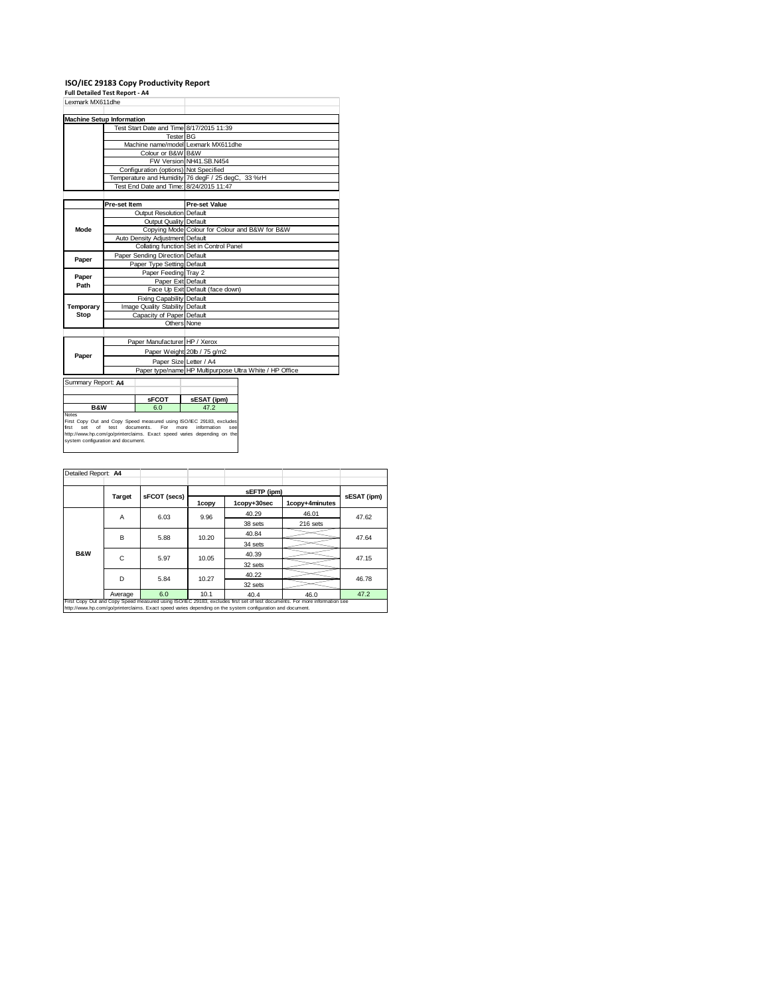# **ISO/IEC 29183 Copy Productivity Report Full Detailed Test Report ‐ A4**

| Lexmark MX611dhe                   |                                 |                                       |                                                                                                       |                                         |  |  |
|------------------------------------|---------------------------------|---------------------------------------|-------------------------------------------------------------------------------------------------------|-----------------------------------------|--|--|
| <b>Machine Setup Information</b>   |                                 |                                       |                                                                                                       |                                         |  |  |
|                                    |                                 |                                       | Test Start Date and Time 8/17/2015 11:39                                                              |                                         |  |  |
|                                    |                                 | Tester BG                             |                                                                                                       |                                         |  |  |
|                                    |                                 |                                       | Machine name/model Lexmark MX611dhe                                                                   |                                         |  |  |
|                                    |                                 | Colour or B&W B&W                     |                                                                                                       |                                         |  |  |
|                                    |                                 |                                       | FW Version NH41.SB.N454                                                                               |                                         |  |  |
|                                    |                                 | Configuration (options) Not Specified |                                                                                                       |                                         |  |  |
|                                    |                                 |                                       | Temperature and Humidity 76 degF / 25 degC, 33 %rH                                                    |                                         |  |  |
|                                    |                                 |                                       | Test End Date and Time: 8/24/2015 11:47                                                               |                                         |  |  |
|                                    |                                 |                                       |                                                                                                       |                                         |  |  |
|                                    | Pre-set Item                    |                                       | <b>Pre-set Value</b>                                                                                  |                                         |  |  |
|                                    |                                 | Output Resolution Default             |                                                                                                       |                                         |  |  |
|                                    |                                 | Output Quality Default                |                                                                                                       |                                         |  |  |
| Mode                               |                                 |                                       | Copying Mode Colour for Colour and B&W for B&W                                                        |                                         |  |  |
|                                    |                                 | Auto Density Adjustment Default       |                                                                                                       |                                         |  |  |
|                                    |                                 |                                       |                                                                                                       | Collating function Set in Control Panel |  |  |
| Paper                              |                                 | Paper Sending Direction Default       |                                                                                                       |                                         |  |  |
|                                    | Paper Type Setting Default      |                                       |                                                                                                       |                                         |  |  |
| Paper                              |                                 | Paper Feeding Tray 2                  |                                                                                                       |                                         |  |  |
| Path                               |                                 | Paper Exit Default                    |                                                                                                       |                                         |  |  |
|                                    |                                 |                                       | Face Up Exit Default (face down)                                                                      |                                         |  |  |
|                                    |                                 | Fixing Capability Default             |                                                                                                       |                                         |  |  |
| Temporary                          | Image Quality Stability Default |                                       |                                                                                                       |                                         |  |  |
| Stop                               |                                 | Capacity of Paper Default             |                                                                                                       |                                         |  |  |
|                                    |                                 |                                       | Others None                                                                                           |                                         |  |  |
|                                    |                                 |                                       |                                                                                                       |                                         |  |  |
|                                    |                                 | Paper Manufacturer HP / Xerox         |                                                                                                       |                                         |  |  |
| Paper                              |                                 |                                       | Paper Weight 20lb / 75 g/m2                                                                           |                                         |  |  |
|                                    |                                 |                                       | Paper Size Letter / A4                                                                                |                                         |  |  |
|                                    |                                 |                                       | Paper type/name HP Multipurpose Ultra White / HP Office                                               |                                         |  |  |
| Summary Report: A4                 |                                 |                                       |                                                                                                       |                                         |  |  |
|                                    |                                 |                                       |                                                                                                       |                                         |  |  |
|                                    |                                 | <b>sFCOT</b>                          | sESAT (ipm)                                                                                           |                                         |  |  |
|                                    | <b>B&amp;W</b><br>6.0           |                                       | 47.2                                                                                                  |                                         |  |  |
| Notes                              |                                 |                                       |                                                                                                       |                                         |  |  |
|                                    |                                 |                                       | First Copy Out and Copy Speed measured using ISO/IEC 29183, excludes                                  |                                         |  |  |
| of<br>first<br>Set                 | test                            | documents.<br>For                     | more<br>information<br>SAR<br>http://www.hp.com/go/printerclaims. Exact speed varies depending on the |                                         |  |  |
| system configuration and document. |                                 |                                       |                                                                                                       |                                         |  |  |
|                                    |                                 |                                       |                                                                                                       |                                         |  |  |
|                                    |                                 |                                       |                                                                                                       |                                         |  |  |

| Detailed Report: A4 |                                                                                                                                                                                                                                          |              |       |             |                |             |  |  |
|---------------------|------------------------------------------------------------------------------------------------------------------------------------------------------------------------------------------------------------------------------------------|--------------|-------|-------------|----------------|-------------|--|--|
|                     |                                                                                                                                                                                                                                          |              |       | sEFTP (ipm) |                |             |  |  |
|                     | Target                                                                                                                                                                                                                                   | sFCOT (secs) | 1copy | 1copy+30sec | 1copy+4minutes | sESAT (ipm) |  |  |
|                     | Α                                                                                                                                                                                                                                        | 6.03         | 9.96  | 40.29       | 46.01          | 47.62       |  |  |
|                     |                                                                                                                                                                                                                                          |              |       | 38 sets     | 216 sets       |             |  |  |
|                     | B                                                                                                                                                                                                                                        | 5.88         | 10.20 | 40.84       |                | 47.64       |  |  |
|                     |                                                                                                                                                                                                                                          |              |       | 34 sets     |                |             |  |  |
| <b>B&amp;W</b>      | C                                                                                                                                                                                                                                        | 5.97         | 10.05 | 40.39       |                |             |  |  |
|                     |                                                                                                                                                                                                                                          |              |       | 32 sets     |                | 47.15       |  |  |
|                     | D                                                                                                                                                                                                                                        | 5.84         | 10.27 | 40.22       |                | 46.78       |  |  |
|                     |                                                                                                                                                                                                                                          |              |       | 32 sets     |                |             |  |  |
|                     | Average                                                                                                                                                                                                                                  | 6.0          | 10.1  | 40.4        | 46.0           | 47.2        |  |  |
|                     | First Copy Out and Copy Speed measured using ISO/IEC 29183, excludes first set of test documents. For more information see<br>http://www.hp.com/go/printerclaims. Exact speed varies depending on the system configuration and document. |              |       |             |                |             |  |  |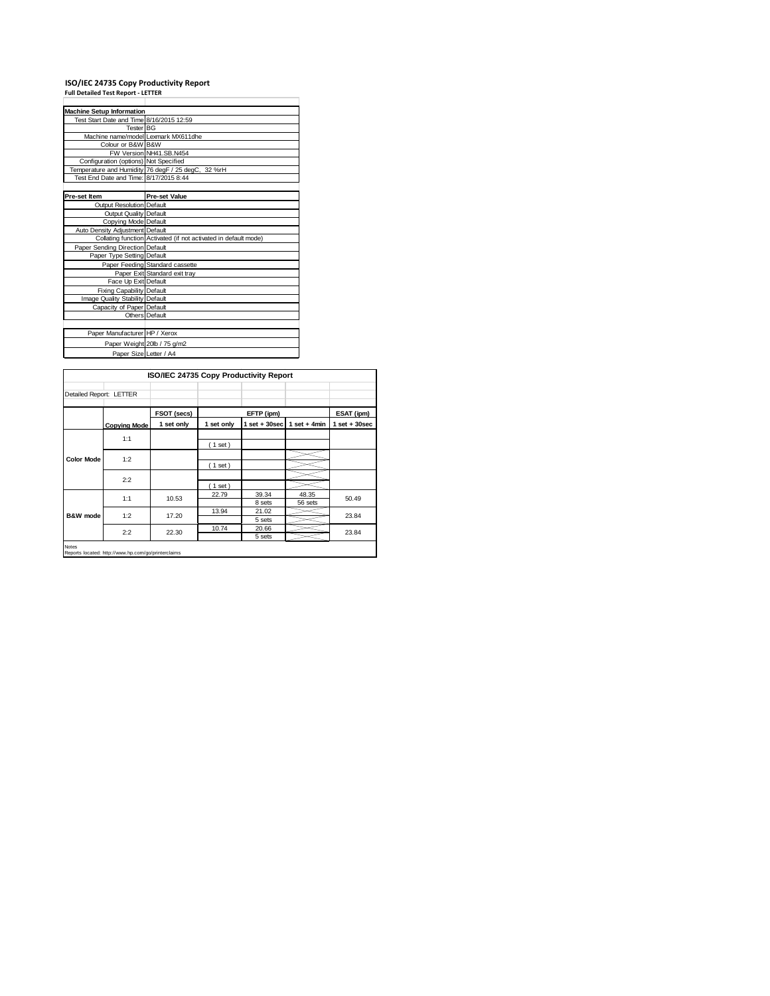# **ISO/IEC 24735 Copy Productivity Report Full Detailed Test Report ‐ LETTER**

| <b>Machine Setup Information</b>         |                                                                 |  |  |  |  |  |
|------------------------------------------|-----------------------------------------------------------------|--|--|--|--|--|
| Test Start Date and Time 8/16/2015 12:59 |                                                                 |  |  |  |  |  |
| Tester BG                                |                                                                 |  |  |  |  |  |
| Machine name/model Lexmark MX611dhe      |                                                                 |  |  |  |  |  |
| Colour or B&W B&W                        |                                                                 |  |  |  |  |  |
|                                          | FW Version NH41.SB.N454                                         |  |  |  |  |  |
| Configuration (options) Not Specified    |                                                                 |  |  |  |  |  |
|                                          | Temperature and Humidity 76 degF / 25 degC, 32 %rH              |  |  |  |  |  |
| Test End Date and Time: 8/17/2015 8:44   |                                                                 |  |  |  |  |  |
|                                          |                                                                 |  |  |  |  |  |
| Pre-set Item                             | <b>Pre-set Value</b>                                            |  |  |  |  |  |
| Output Resolution Default                |                                                                 |  |  |  |  |  |
| Output Quality Default                   |                                                                 |  |  |  |  |  |
| Copying Mode Default                     |                                                                 |  |  |  |  |  |
| Auto Density Adjustment Default          |                                                                 |  |  |  |  |  |
|                                          | Collating function Activated (if not activated in default mode) |  |  |  |  |  |
| Paper Sending Direction Default          |                                                                 |  |  |  |  |  |
| Paper Type Setting Default               |                                                                 |  |  |  |  |  |
|                                          | Paper Feeding Standard cassette                                 |  |  |  |  |  |
|                                          | Paper Exit Standard exit tray                                   |  |  |  |  |  |
| Face Up Exit Default                     |                                                                 |  |  |  |  |  |
| <b>Fixing Capability Default</b>         |                                                                 |  |  |  |  |  |
| Image Quality Stability Default          |                                                                 |  |  |  |  |  |
| Capacity of Paper Default                |                                                                 |  |  |  |  |  |
|                                          | Others Default                                                  |  |  |  |  |  |
|                                          |                                                                 |  |  |  |  |  |
| Paper Manufacturer HP / Xerox            |                                                                 |  |  |  |  |  |
|                                          | Paper Weight 20lb / 75 g/m2                                     |  |  |  |  |  |
| Paper Size Letter / A4                   |                                                                 |  |  |  |  |  |

|                         |                                                     | ISO/IEC 24735 Copy Productivity Report |            |                 |                  |                   |
|-------------------------|-----------------------------------------------------|----------------------------------------|------------|-----------------|------------------|-------------------|
| Detailed Report: LETTER |                                                     |                                        |            |                 |                  |                   |
|                         |                                                     | FSOT (secs)                            |            | EFTP (ipm)      |                  | ESAT (ipm)        |
|                         | <b>Copying Mode</b>                                 | 1 set only                             | 1 set only | $1$ set + 30sec | $1$ set + 4min   | $1$ set $+30$ sec |
| <b>Color Mode</b>       | 1:1                                                 |                                        | (1 set)    |                 |                  |                   |
|                         | 1:2                                                 |                                        | (1 set)    |                 |                  |                   |
|                         | 2:2                                                 |                                        | (1 set)    |                 |                  |                   |
|                         | 1:1                                                 | 10.53                                  | 22.79      | 39.34<br>8 sets | 48.35<br>56 sets | 50.49             |
| B&W mode                | 1:2                                                 | 17.20                                  | 13.94      | 21.02<br>5 sets |                  | 23.84             |
|                         | 2:2                                                 | 22.30                                  | 10.74      | 20.66<br>5 sets |                  | 23.84             |
| Notes                   | Reports located: http://www.hp.com/go/printerclaims |                                        |            |                 |                  |                   |